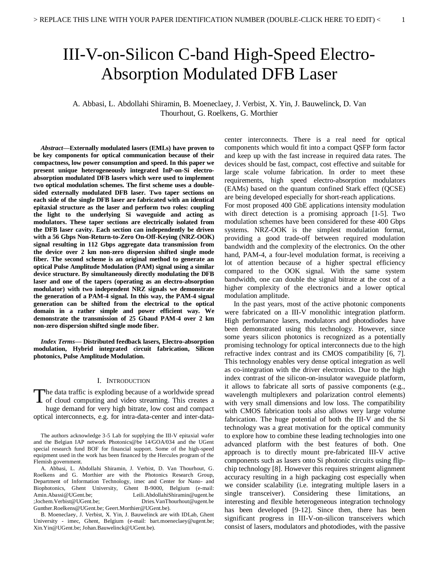# III-V-on-Silicon C-band High-Speed Electro-Absorption Modulated DFB Laser

A. Abbasi, L. Abdollahi Shiramin, B. Moeneclaey, J. Verbist, X. Yin, J. Bauwelinck, D. Van Thourhout, G. Roelkens, G. Morthier

*Abstract***—Externally modulated lasers (EMLs) have proven to be key components for optical communication because of their compactness, low power consumption and speed. In this paper we present unique heterogeneously integrated InP-on-Si electroabsorption modulated DFB lasers which were used to implement two optical modulation schemes. The first scheme uses a doublesided externally modulated DFB laser. Two taper sections on each side of the single DFB laser are fabricated with an identical epitaxial structure as the laser and perform two roles: coupling the light to the underlying Si waveguide and acting as modulators. These taper sections are electrically isolated from the DFB laser cavity. Each section can independently be driven with a 56 Gbps Non-Return-to-Zero On-Off-Keying (NRZ-OOK) signal resulting in 112 Gbps aggregate data transmission from the device over 2 km non-zero dispersion shifted single mode fiber. The second scheme is an original method to generate an optical Pulse Amplitude Modulation (PAM) signal using a similar device structure. By simultaneously directly modulating the DFB laser and one of the tapers (operating as an electro-absorption modulator) with two independent NRZ signals we demonstrate the generation of a PAM-4 signal. In this way, the PAM-4 signal generation can be shifted from the electrical to the optical domain in a rather simple and power efficient way. We demonstrate the transmission of 25 Gbaud PAM-4 over 2 km non-zero dispersion shifted single mode fiber.**

*Index Terms***— Distributed feedback lasers, Electro-absorption modulation, Hybrid integrated circuit fabrication, Silicon photonics, Pulse Amplitude Modulation.** 

## I. INTRODUCTION

The data traffic is exploding because of a worldwide spread of cloud computing and video streaming. This creates a of cloud computing and video streaming. This creates a huge demand for very high bitrate, low cost and compact optical interconnects, e.g. for intra-data-center and inter-data-

The authors acknowledge 3-5 Lab for supplying the III-V epitaxial wafer and the Belgian IAP network Photonics@be 14/GOA/034 and the UGent special research fund BOF for financial support. Some of the high-speed equipment used in the work has been financed by the Hercules program of the Flemish government.

A. Abbasi, L. Abdollahi Shiramin, J. Verbist, D. Van Thourhout, G. Roelkens and G. Morthier are with the Photonics Research Group, Department of Information Technology, imec and Center for Nano- and Biophotonics, Ghent University, Ghent B-9000, Belgium (e-mail: Amin.Abassi@UGent.be; Leili.AbdollahiShiramin@ugent.be Dries. VanThourhout@ugent.be Gunther.Roelkens@UGent.be; Geert.Morthier@UGent.be).

B. Moeneclaey, J. Verbist, X. Yin, J. Bauwelinck are with IDLab, Ghent University - imec, Ghent, Belgium (e-mail: bart.moeneclaey@ugent.be; Xin.Yin@UGent.be; Johan.Bauwelinck@UGent.be).

center interconnects. There is a real need for optical components which would fit into a compact QSFP form factor and keep up with the fast increase in required data rates. The devices should be fast, compact, cost effective and suitable for large scale volume fabrication. In order to meet these requirements, high speed electro-absorption modulators (EAMs) based on the quantum confined Stark effect (QCSE) are being developed especially for short-reach applications.

For most proposed 400 GbE applications intensity modulation with direct detection is a promising approach [1-5]. Two modulation schemes have been considered for these 400 Gbps systems. NRZ-OOK is the simplest modulation format, providing a good trade-off between required modulation bandwidth and the complexity of the electronics. On the other hand, PAM-4, a four-level modulation format, is receiving a lot of attention because of a higher spectral efficiency compared to the OOK signal. With the same system bandwidth, one can double the signal bitrate at the cost of a higher complexity of the electronics and a lower optical modulation amplitude.

In the past years, most of the active photonic components were fabricated on a III-V monolithic integration platform. High performance lasers, modulators and photodiodes have been demonstrated using this technology. However, since some years silicon photonics is recognized as a potentially promising technology for optical interconnects due to the high refractive index contrast and its CMOS compatibility [6, 7]. This technology enables very dense optical integration as well as co-integration with the driver electronics. Due to the high index contrast of the silicon-on-insulator waveguide platform, it allows to fabricate all sorts of passive components (e.g., wavelength multiplexers and polarization control elements) with very small dimensions and low loss. The compatibility with CMOS fabrication tools also allows very large volume fabrication. The huge potential of both the III-V and the Si technology was a great motivation for the optical community to explore how to combine these leading technologies into one advanced platform with the best features of both. One approach is to directly mount pre-fabricated III-V active components such as lasers onto Si photonic circuits using flipchip technology [8]. However this requires stringent alignment accuracy resulting in a high packaging cost especially when we consider scalability (i.e. integrating multiple lasers in a single transceiver). Considering these limitations, an interesting and flexible heterogeneous integration technology has been developed [9-12]. Since then, there has been significant progress in III-V-on-silicon transceivers which consist of lasers, modulators and photodiodes, with the passive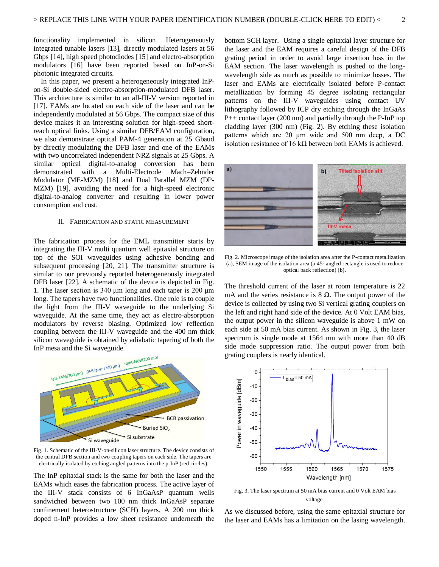functionality implemented in silicon. Heterogeneously integrated tunable lasers [13], directly modulated lasers at 56 Gbps [14], high speed photodiodes [15] and electro-absorption modulators [16] have been reported based on InP-on-Si photonic integrated circuits.

In this paper, we present a heterogeneously integrated InPon-Si double-sided electro-absorption-modulated DFB laser. This architecture is similar to an all-III-V version reported in [17]. EAMs are located on each side of the laser and can be independently modulated at 56 Gbps. The compact size of this device makes it an interesting solution for high-speed shortreach optical links. Using a similar DFB/EAM configuration, we also demonstrate optical PAM-4 generation at 25 Gbaud by directly modulating the DFB laser and one of the EAMs with two uncorrelated independent NRZ signals at 25 Gbps. A similar optical digital-to-analog conversion has been demonstrated with a Multi-Electrode Mach–Zehnder Modulator (ME-MZM) [18] and Dual Parallel MZM (DP-MZM) [19], avoiding the need for a high-speed electronic digital-to-analog converter and resulting in lower power consumption and cost.

## II. FABRICATION AND STATIC MEASUREMENT

The fabrication process for the EML transmitter starts by integrating the III-V multi quantum well epitaxial structure on top of the SOI waveguides using adhesive bonding and subsequent processing [20, 21]. The transmitter structure is similar to our previously reported heterogeneously integrated DFB laser [22]. A schematic of the device is depicted in Fig. 1. The laser section is 340 μm long and each taper is 200 μm long. The tapers have two functionalities. One role is to couple the light from the III-V waveguide to the underlying Si waveguide. At the same time, they act as electro-absorption modulators by reverse biasing. Optimized low reflection coupling between the III-V waveguide and the 400 nm thick silicon waveguide is obtained by adiabatic tapering of both the



Fig. 1. Schematic of the III-V-on-silicon laser structure. The device consists of the central DFB section and two coupling tapers on each side. The tapers are electrically isolated by etching angled patterns into the p-InP (red circles).

The InP epitaxial stack is the same for both the laser and the EAMs which eases the fabrication process. The active layer of the III-V stack consists of 6 InGaAsP quantum wells sandwiched between two 100 nm thick InGaAsP separate confinement heterostructure (SCH) layers. A 200 nm thick doped n-InP provides a low sheet resistance underneath the bottom SCH layer. Using a single epitaxial layer structure for the laser and the EAM requires a careful design of the DFB grating period in order to avoid large insertion loss in the EAM section. The laser wavelength is pushed to the longwavelength side as much as possible to minimize losses. The laser and EAMs are electrically isolated before P-contact metallization by forming 45 degree isolating rectangular patterns on the III-V waveguides using contact UV lithography followed by ICP dry etching through the InGaAs P++ contact layer (200 nm) and partially through the P-InP top cladding layer (300 nm) (Fig. 2). By etching these isolation patterns which are 20 μm wide and 500 nm deep, a DC isolation resistance of 16 kΩ between both EAMs is achieved.



Fig. 2. Microscope image of the isolation area after the P-contact metallization (a), SEM image of the isolation area (a  $45^{\circ}$  angled rectangle is used to reduce optical back reflection) (b).

The threshold current of the laser at room temperature is 22 mA and the series resistance is  $8 \Omega$ . The output power of the device is collected by using two Si vertical grating couplers on the left and right hand side of the device. At 0 Volt EAM bias, the output power in the silicon waveguide is above 1 mW on each side at 50 mA bias current. As shown in Fig. 3, the laser spectrum is single mode at 1564 nm with more than 40 dB side mode suppression ratio. The output power from both grating couplers is nearly identical.



Fig. 3. The laser spectrum at 50 mA bias current and 0 Volt EAM bias voltage.

As we discussed before, using the same epitaxial structure for the laser and EAMs has a limitation on the lasing wavelength.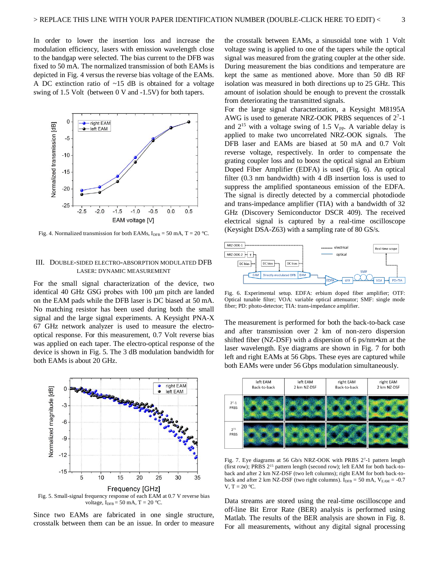In order to lower the insertion loss and increase the modulation efficiency, lasers with emission wavelength close to the bandgap were selected. The bias current to the DFB was fixed to 50 mA. The normalized transmission of both EAMs is depicted in Fig. 4 versus the reverse bias voltage of the EAMs. A DC extinction ratio of  $\sim$ 15 dB is obtained for a voltage swing of 1.5 Volt (between 0 V and -1.5V) for both tapers.



Fig. 4. Normalized transmission for both EAMs,  $I_{DFB} = 50$  mA, T = 20 °C.

# III. DOUBLE-SIDED ELECTRO-ABSORPTION MODULATED DFB LASER: DYNAMIC MEASUREMENT

For the small signal characterization of the device, two identical 40 GHz GSG probes with 100 μm pitch are landed on the EAM pads while the DFB laser is DC biased at 50 mA. No matching resistor has been used during both the small signal and the large signal experiments. A Keysight PNA-X 67 GHz network analyzer is used to measure the electrooptical response. For this measurement, 0.7 Volt reverse bias was applied on each taper. The electro-optical response of the device is shown in Fig. 5. The 3 dB modulation bandwidth for both EAMs is about 20 GHz.



voltage,  $I_{\text{DFB}} = 50 \text{ mA}$ , T = 20 °C.

Since two EAMs are fabricated in one single structure, crosstalk between them can be an issue. In order to measure the crosstalk between EAMs, a sinusoidal tone with 1 Volt voltage swing is applied to one of the tapers while the optical signal was measured from the grating coupler at the other side. During measurement the bias conditions and temperature are kept the same as mentioned above. More than 50 dB RF isolation was measured in both directions up to 25 GHz. This amount of isolation should be enough to prevent the crosstalk from deteriorating the transmitted signals.

For the large signal characterization, a Keysight M8195A AWG is used to generate NRZ-OOK PRBS sequences of 2<sup>7</sup> -1 and  $2^{15}$  with a voltage swing of 1.5  $V_{\text{pp}}$ . A variable delay is applied to make two uncorrelated NRZ-OOK signals. The DFB laser and EAMs are biased at 50 mA and 0.7 Volt reverse voltage, respectively. In order to compensate the grating coupler loss and to boost the optical signal an Erbium Doped Fiber Amplifier (EDFA) is used (Fig. 6). An optical filter (0.3 nm bandwidth) with 4 dB insertion loss is used to suppress the amplified spontaneous emission of the EDFA. The signal is directly detected by a commercial photodiode and trans-impedance amplifier (TIA) with a bandwidth of 32 GHz (Discovery Semiconductor DSCR 409). The received electrical signal is captured by a real-time oscilloscope (Keysight DSA-Z63) with a sampling rate of 80 GS/s.



Fig. 6. Experimental setup. EDFA: erbium doped fiber amplifier; OTF: Optical tunable filter; VOA: variable optical attenuator; SMF: single mode fiber; PD: photo-detector; TIA: trans-impedance amplifier.

The measurement is performed for both the back-to-back case and after transmission over 2 km of non-zero dispersion shifted fiber (NZ-DSF) with a dispersion of 6 ps/nm•km at the laser wavelength. Eye diagrams are shown in Fig. 7 for both left and right EAMs at 56 Gbps. These eyes are captured while both EAMs were under 56 Gbps modulation simultaneously.



Fig. 7. Eye diagrams at 56 Gb/s NRZ-OOK with PRBS 27-1 pattern length (first row); PRBS 2<sup>15</sup> pattern length (second row); left EAM for both back-toback and after 2 km NZ-DSF (two left columns); right EAM for both back-toback and after 2 km NZ-DSF (two right columns).  $I_{DFB} = 50$  mA,  $V_{EAM} = -0.7$ V,  $T = 20 °C$ .

Data streams are stored using the real-time oscilloscope and off-line Bit Error Rate (BER) analysis is performed using Matlab. The results of the BER analysis are shown in Fig. 8. For all measurements, without any digital signal processing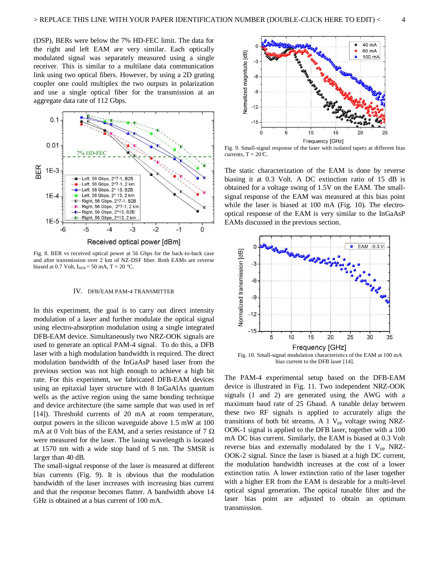(DSP), BERs were below the 7% HD-FEC limit. The data for the right and left EAM are very similar. Each optically modulated signal was separately measured using a single receiver. This is similar to a multilane data communication link using two optical fibers. However, by using a 2D grating coupler one could multiplex the two outputs in polarization and use a single optical fiber for the transmission at an aggregate data rate of 112 Gbps.



Fig. 8. BER vs received optical power at 56 Gbps for the back-to-back case and after transmission over 2 km of NZ-DSF fiber. Both EAMs are reverse biased at 0.7 Volt,  $I_{DFB} = 50$  mA,  $T = 20$  °C.

### IV. DFB/EAM PAM-4 TRANSMITTER

In this experiment, the goal is to carry out direct intensity modulation of a laser and further modulate the optical signal using electro-absorption modulation using a single integrated DFB-EAM device. Simultaneously two NRZ-OOK signals are used to generate an optical PAM-4 signal. To do this, a DFB laser with a high modulation bandwidth is required. The direct modulation bandwidth of the InGaAsP based laser from the previous section was not high enough to achieve a high bit rate. For this experiment, we fabricated DFB-EAM devices using an epitaxial layer structure with 8 InGaAlAs quantum wells as the active region using the same bonding technique and device architecture (the same sample that was used in ref [14]). Threshold currents of 20 mA at room temperature, output powers in the silicon waveguide above 1.5 mW at 100 mA at 0 Volt bias of the EAM, and a series resistance of 7  $\Omega$ were measured for the laser. The lasing wavelength is located at 1570 nm with a wide stop band of 5 nm. The SMSR is larger than 40 dB.

The small-signal response of the laser is measured at different bias currents (Fig. 9). It is obvious that the modulation bandwidth of the laser increases with increasing bias current and that the response becomes flatter. A bandwidth above 14 GHz is obtained at a bias current of 100 mA.



Fig. 9. Small-signal response of the laser with isolated tapers at different bias currents,  $T = 20 \text{°C}$ .

The static characterization of the EAM is done by reverse biasing it at 0.3 Volt. A DC extinction ratio of 15 dB is obtained for a voltage swing of 1.5V on the EAM. The smallsignal response of the EAM was measured at this bias point while the laser is biased at 100 mA (Fig. 10). The electrooptical response of the EAM is very similar to the InGaAsP EAMs discussed in the previous section.



Fig. 10. Small-signal modulation characteristics of the EAM at 100 mA bias current to the DFB laser [14].

The PAM-4 experimental setup based on the DFB-EAM device is illustrated in Fig. 11. Two independent NRZ-OOK signals (1 and 2) are generated using the AWG with a maximum baud rate of 25 Gbaud. A tunable delay between these two RF signals is applied to accurately align the transitions of both bit streams. A 1  $V_{pp}$  voltage swing NRZ-OOK-1 signal is applied to the DFB laser, together with a 100 mA DC bias current. Similarly, the EAM is biased at 0.3 Volt reverse bias and externally modulated by the 1  $V_{pp}$  NRZ-OOK-2 signal. Since the laser is biased at a high DC current, the modulation bandwidth increases at the cost of a lower extinction ratio. A lower extinction ratio of the laser together with a higher ER from the EAM is desirable for a multi-level optical signal generation. The optical tunable filter and the laser bias point are adjusted to obtain an optimum transmission.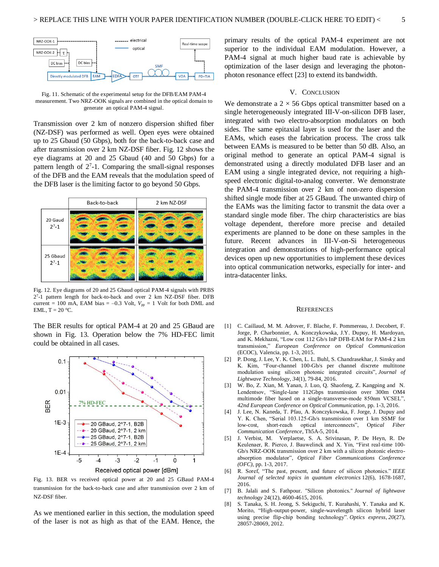

Fig. 11. Schematic of the experimental setup for the DFB/EAM PAM-4 measurement. Two NRZ-OOK signals are combined in the optical domain to generate an optical PAM-4 signal.

Transmission over 2 km of nonzero dispersion shifted fiber (NZ-DSF) was performed as well. Open eyes were obtained up to 25 Gbaud (50 Gbps), both for the back-to-back case and after transmission over 2 km NZ-DSF fiber. Fig. 12 shows the eye diagrams at 20 and 25 Gbaud (40 and 50 Gbps) for a pattern length of  $2<sup>7</sup>$ -1. Comparing the small-signal responses of the DFB and the EAM reveals that the modulation speed of the DFB laser is the limiting factor to go beyond 50 Gbps.



Fig. 12. Eye diagrams of 20 and 25 Gbaud optical PAM-4 signals with PRBS 2 7 -1 pattern length for back-to-back and over 2 km NZ-DSF fiber. DFB current = 100 mA, EAM bias =  $-0.3$  Volt,  $V_{pp} = 1$  Volt for both DML and EML,  $T = 20$  °C.

The BER results for optical PAM-4 at 20 and 25 GBaud are shown in Fig. 13. Operation below the 7% HD-FEC limit could be obtained in all cases.



Fig. 13. BER vs received optical power at 20 and 25 GBaud PAM-4 transmission for the back-to-back case and after transmission over 2 km of NZ-DSF fiber.

As we mentioned earlier in this section, the modulation speed of the laser is not as high as that of the EAM. Hence, the primary results of the optical PAM-4 experiment are not superior to the individual EAM modulation. However, a PAM-4 signal at much higher baud rate is achievable by optimization of the laser design and leveraging the photonphoton resonance effect [23] to extend its bandwidth.

#### V. CONCLUSION

We demonstrate a  $2 \times 56$  Gbps optical transmitter based on a single heterogeneously integrated III-V-on-silicon DFB laser, integrated with two electro-absorption modulators on both sides. The same epitaxial layer is used for the laser and the EAMs, which eases the fabrication process. The cross talk between EAMs is measured to be better than 50 dB. Also, an original method to generate an optical PAM-4 signal is demonstrated using a directly modulated DFB laser and an EAM using a single integrated device, not requiring a highspeed electronic digital-to-analog converter. We demonstrate the PAM-4 transmission over 2 km of non-zero dispersion shifted single mode fiber at 25 GBaud. The unwanted chirp of the EAMs was the limiting factor to transmit the data over a standard single mode fiber. The chirp characteristics are bias voltage dependent, therefore more precise and detailed experiments are planned to be done on these samples in the future. Recent advances in III-V-on-Si heterogeneous integration and demonstrations of high-performance optical devices open up new opportunities to implement these devices into optical communication networks, especially for inter- and intra-datacenter links.

#### **REFERENCES**

- [1] C. Caillaud, M. M. Adrover, F. Blache, F. Pommereau, J. Decobert, F. Jorge, P. Charbonnier, A. Konczykowska, J.Y. Dupuy, H. Mardoyan, and K. Mekhazni, "Low cost 112 Gb/s InP DFB-EAM for PAM-4 2 km transmission," *European Conference on Optical Communication* (ECOC), Valencia, pp. 1-3, 2015.
- [2] P. Dong, J. Lee, Y. K. Chen, L. L. Buhl, S. Chandrasekhar, J. Sinsky and K. Kim, "Four-channel 100-Gb/s per channel discrete multitone modulation using silicon photonic integrated circuits", *Journal of Lightwave Technology*, *34*(1), 79-84, 2016.
- [3] W. Bo, Z. Xian, M. Yanan, J. Luo, Q. Shaofeng, Z. Kangping and N. Lendentsov, "Single-lane 112Gbps transmission over 300m OM4 multimode fiber based on a single-transverse-mode 850nm VCSEL", *42nd European Conference on Optical Communication,* pp. 1-3, 2016.
- [4] J. Lee, N. Kaneda, T. Pfau, A. Konczykowska, F. Jorge, J. Dupuy and Y. K. Chen, "Serial 103.125-Gb/s transmission over 1 km SSMF for low-cost, short-reach optical interconnects", Opti*cal Fiber Communication Conference*, Th5A-5, 2014.
- [5] J. Verbist, M. Verplaetse, S. A. Srivinasan, P. De Heyn, R. De Keulenaer, R. Pierco, J. Bauwelinck and X. Yin, "First real-time 100- Gb/s NRZ-OOK transmission over 2 km with a silicon photonic electroabsorption modulator", *Optical Fiber Communications Conference (OFC),* pp. 1-3, 2017.
- [6] R. Soref, "The past, present, and future of silicon photonics." *IEEE Journal of selected topics in quantum electronics* 12(6), 1678-1687, 2016.
- [7] B. Jalali and S. Fathpour. "Silicon photonics." *Journal of lightwave technology* 24(12), 4600-4615, 2016.
- [8] S. Tanaka, S. H. Jeong, S. Sekiguchi, T. Kurahashi, Y. Tanaka and K. Morito, "High-output-power, single-wavelength silicon hybrid laser using precise flip-chip bonding technology". *Optics express*, *20*(27), 28057-28069, 2012.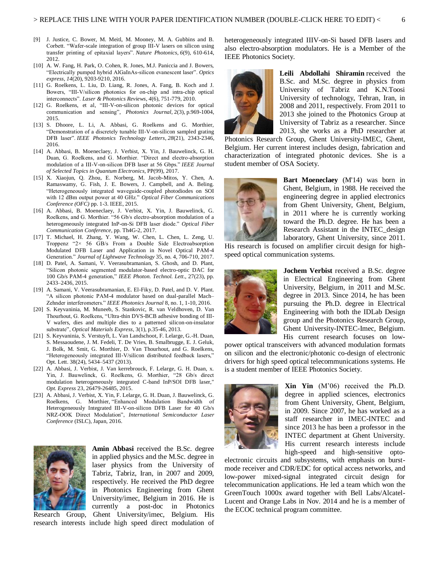- [9] J. Justice, C. Bower, M. Meitl, M. Mooney, M. A. Gubbins and B. Corbett. "Wafer-scale integration of group III-V lasers on silicon using transfer printing of epitaxial layers". *Nature Photonics*, *6*(9), 610-614, 2012.
- [10] A. W. Fang, H. Park, O. Cohen, R. Jones, M.J. Paniccia and J. Bowers, "Electrically pumped hybrid AlGaInAs-silicon evanescent laser". *Optics express*, *14*(20), 9203-9210, 2016.
- [11] G. Roelkens, L. Liu, D. Liang, R. Jones, A. Fang, B. Koch and J. Bowers, "III‐V/silicon photonics for on‐chip and intra‐chip optical interconnects". *Laser & Photonics Reviews*, *4*(6), 751-779, 2010.
- [12] G. Roelkens, et al, "III-V-on-silicon photonic devices for optical communication and sensing", *Photonics Journal*, 2(3), p.969-1004, 2015.
- [13] S. Dhoore, L. Li, A. Abbasi, G. Roelkens and G. Morthier, "Demonstration of a discretely tunable III-V-on-silicon sampled grating DFB laser". *IEEE Photonics Technology Letters*, *28*(21), 2343-2346, 2016.
- [14] A. Abbasi, B. Moeneclaey, J. Verbist, X. Yin, J. Bauwelinck, G. H. Duan, G. Roelkens, and G. Morthier. "Direct and electro-absorption modulation of a III-V-on-silicon DFB laser at 56 Gbps." *IEEE Journal of Selected Topics in Quantum Electronics,* PP(99), 2017.
- [15] X. Xiaojun, Q. Zhou, E. Norberg, M. Jacob-Mitos, Y. Chen, A. Ramaswamy, G. Fish, J. E. Bowers, J. Campbell, and A. Beling. "Heterogeneously integrated waveguide-coupled photodiodes on SOI with 12 dBm output power at 40 GHz." *Optical Fiber Communications Conference (OFC)* pp. 1-3. IEEE, 2015.
- [16] A. Abbasi, B. Moeneclaey, J. Verbist, X. Yin, J. Bauwelinck, G. Roelkens, and G. Morthier. "56 Gb/s electro-absorption modulation of a heterogeneously integrated InP-on-Si DFB laser diode." *Optical Fiber Communication Conference*, pp. Th4G-2, 2017.
- [17] T. Michael, H. Zhang, Y. Wang, W. Chen, L. Chen, L. Zeng, U. Troppenz "2× 56 GB/s From a Double Side Electroabsorption Modulated DFB Laser and Application in Novel Optical PAM-4 Generation." *Journal of Lightwave Technology* 35, no. 4, 706-710, 2017.
- [18] D. Patel, A. Samani, V. Veerasubramanian, S. Ghosh, and D. Plant, "Silicon photonic segmented modulator-based electro-optic DAC for 100 Gb/s PAM-4 generation," *IEEE Photon. Technol. Lett*., 27(23), pp. 2433–2436, 2015.
- [19] A. Samani, V. Veerasubramanian, E. El-Fiky, D. Patel, and D. V. Plant. "A silicon photonic PAM-4 modulator based on dual-parallel Mach– Zehnder interferometers." *IEEE Photonics Journal* 8, no. 1, 1-10, 2016.
- [20] S. Keyvaninia, M. Muneeb, S. Stankovic, R. van Veldhoven, D. Van Thourhout, G. Roelkens, "Ultra-thin DVS-BCB adhesive bonding of III-V wafers, dies and multiple dies to a patterned silicon-on-insulator substrate", *Optical Materials Express*, 3(1), p.35-46, 2013.
- [21] S. Keyvaninia, S. Verstuyft, L. Van Landschoot, F. Lelarge, G.-H. Duan, S. Messaoudene, J. M. Fedeli, T. De Vries, B. Smalbrugge, E. J. Geluk, J. Bolk, M. Smit, G. Morthier, D. Van Thourhout, and G. Roelkens, "Heterogeneously integrated III-V/silicon distributed feedback lasers," Opt. Lett. 38(24), 5434–5437 (2013).
- [22] A. Abbasi, J. Verbist, J. Van kerrebrouck, F. Lelarge, G. H. Duan, x. Yin, J. Bauwelinck, G. Roelkens, G. Morthier, "28 Gb/s direct modulation heterogeneously integrated C-band InP/SOI DFB laser," *Opt. Express* 23, 26479-26485, 2015.
- [23] A. Abbasi, J. Verbist, X. Yin, F. Lelarge, G. H. Duan, J. Bauwelinck, G. Roelkens, G. Morthier, "Enhanced Modulation Bandwidth of Heterogeneously Integrated III-V-on-silicon DFB Laser for 40 Gb/s NRZ-OOK Direct Modulation", *International Semiconductor Laser Conference* (ISLC), Japan, 2016.



**Amin Abbasi** received the B.Sc. degree in applied physics and the M.Sc. degree in laser physics from the University of Tabriz, Tabriz, Iran, in 2007 and 2009, respectively. He received the PhD degree in Photonics Engineering from Ghent University/imec, Belgium in 2016. He is currently a post-doc in Photonics Research Group, Ghent University/imec, Belgium. His

research interests include high speed direct modulation of

heterogeneously integrated IIIV-on-Si based DFB lasers and also electro-absorption modulators. He is a Member of the IEEE Photonics Society.



**Leili Abdollahi Shiramin** received the B.Sc. and M.Sc. degree in physics from University of Tabriz and K.N.Toosi University of technology, Tehran, Iran, in 2008 and 2011, respectively. From 2011 to 2013 she joined to the Photonics Group at University of Tabriz as a researcher. Since 2013, she works as a PhD researcher at

Photonics Research Group, Ghent University-IMEC, Ghent, Belgium. Her current interest includes design, fabrication and characterization of integrated photonic devices. She is a student member of OSA Society.



**Bart Moeneclaey** (M'14) was born in Ghent, Belgium, in 1988. He received the engineering degree in applied electronics from Ghent University, Ghent, Belgium, in 2011 where he is currently working toward the Ph.D. degree. He has been a Research Assistant in the INTEC\_design laboratory, Ghent University, since 2011.

His research is focused on amplifier circuit design for highspeed optical communication systems.



**Jochem Verbist** received a B.Sc. degree in Electrical Engineering from Ghent University, Belgium, in 2011 and M.Sc. degree in 2013. Since 2014, he has been pursuing the Ph.D. degree in Electrical Engineering with both the IDLab Design group and the Photonics Research Group, Ghent University-INTEC-Imec, Belgium. His current research focuses on low-

power optical transceivers with advanced modulation formats on silicon and the electronic/photonic co-design of electronic drivers for high speed optical telecommunications systems. He is a student member of IEEE Photonics Society.



**Xin Yin** (M'06) received the Ph.D. degree in applied sciences, electronics from Ghent University, Ghent, Belgium, in 2009. Since 2007, he has worked as a staff researcher in IMEC-INTEC and since 2013 he has been a professor in the INTEC department at Ghent University. His current research interests include high-speed and high-sensitive opto-

electronic circuits and subsystems, with emphasis on burstmode receiver and CDR/EDC for optical access networks, and low-power mixed-signal integrated circuit design for telecommunication applications. He led a team which won the GreenTouch 1000x award together with Bell Labs/Alcatel-Lucent and Orange Labs in Nov. 2014 and he is a member of the ECOC technical program committee.